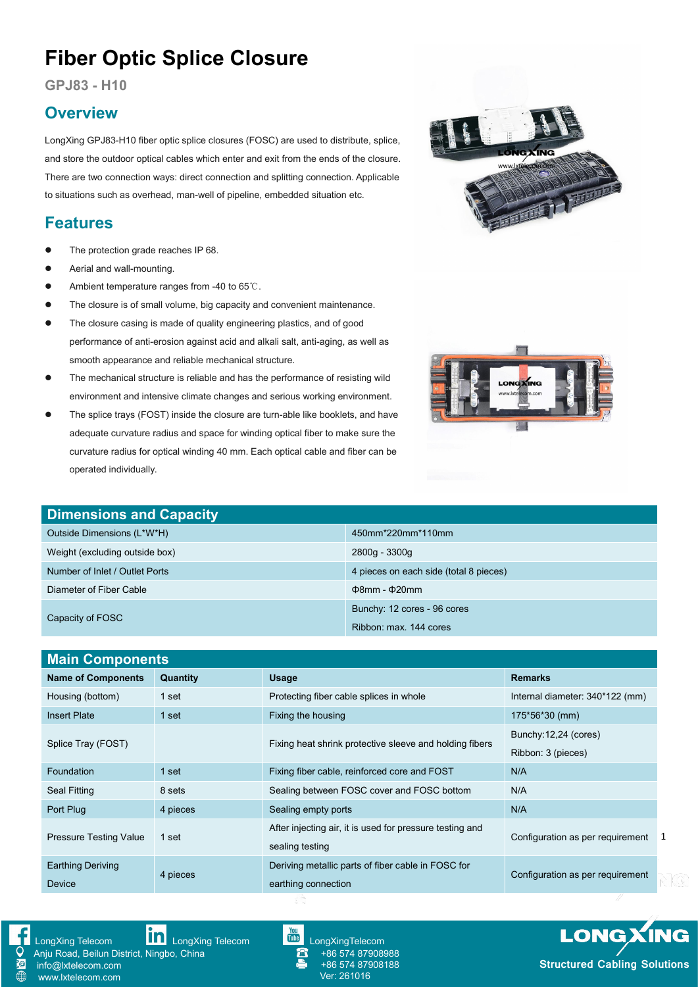# **Fiber Optic Splice Closure**

**GPJ83 - H10**

### **Overview**

LongXing GPJ83-H10 fiber optic splice closures (FOSC) are used to distribute, splice, and store the outdoor optical cables which enter and exit from the ends of the closure.<br>There are two connection ways: direct connection and splitting connection. Applicable to situations such as overhead, man-well of pipeline, embedded situation etc.

## **Features**

- The protection grade reaches IP 68.
- Aerial and wall-mounting.
- Ambient temperature ranges from -40 to 65℃.
- The closure is of small volume, big capacity and convenient maintenance.
- The closure casing is made of quality engineering plastics, and of good performance of anti-erosion against acid and alkali salt, anti-aging, as well as smooth appearance and reliable mechanical structure.
- The mechanical structure is reliable and has the performance of resisting wild environment and intensive climate changes and serious working environment.
- The splice trays (FOST) inside the closure are turn-able like booklets, and have adequate curvature radius and space for winding optical fiber to make sure the curvature radius for optical winding 40 mm. Each optical cable and fiber can be operated individually.



| <b>Dimensions and Capacity</b> |                                        |  |  |  |
|--------------------------------|----------------------------------------|--|--|--|
| Outside Dimensions (L*W*H)     | 450mm*220mm*110mm                      |  |  |  |
| Weight (excluding outside box) | 2800g - 3300g                          |  |  |  |
| Number of Inlet / Outlet Ports | 4 pieces on each side (total 8 pieces) |  |  |  |
| Diameter of Fiber Cable        | $\Phi$ 8mm - $\Phi$ 20mm               |  |  |  |
|                                | Bunchy: 12 cores - 96 cores            |  |  |  |
| Capacity of FOSC               | Ribbon: max. 144 cores                 |  |  |  |

| <b>Main Components</b>                 |          |                                                          |                                  |  |
|----------------------------------------|----------|----------------------------------------------------------|----------------------------------|--|
| <b>Name of Components</b>              | Quantity | <b>Usage</b>                                             | <b>Remarks</b>                   |  |
| Housing (bottom)                       | 1 set    | Protecting fiber cable splices in whole                  | Internal diameter: 340*122 (mm)  |  |
| <b>Insert Plate</b>                    | 1 set    | Fixing the housing                                       | 175*56*30 (mm)                   |  |
|                                        |          |                                                          | Bunchy: 12,24 (cores)            |  |
| Splice Tray (FOST)                     |          | Fixing heat shrink protective sleeve and holding fibers  | Ribbon: 3 (pieces)               |  |
| Foundation                             | 1 set    | Fixing fiber cable, reinforced core and FOST             | N/A                              |  |
| Seal Fitting                           | 8 sets   | Sealing between FOSC cover and FOSC bottom               | N/A                              |  |
| Port Plug                              | 4 pieces | Sealing empty ports                                      | N/A                              |  |
| <b>Pressure Testing Value</b><br>1 set |          | After injecting air, it is used for pressure testing and | Configuration as per requirement |  |
|                                        |          | sealing testing                                          |                                  |  |
| <b>Earthing Deriving</b>               | 4 pieces | Deriving metallic parts of fiber cable in FOSC for       | Configuration as per requirement |  |
| <b>Device</b>                          |          | earthing connection                                      |                                  |  |



[LongXing](https://www.linkedin.com/company/longxing-telecom) Telecom **LOO** LongXing Telecom LongXing [LongXingTelecom](https://www.youtube.com/user/LongXingTelecom) Anju Road, Beilun District, Ningbo, China info@lxtelecom.com [www.lxtelecom.com](http://www.lxtelecom.com/)

+86 574 87908988 +86 574 87908188 Ver: 261016



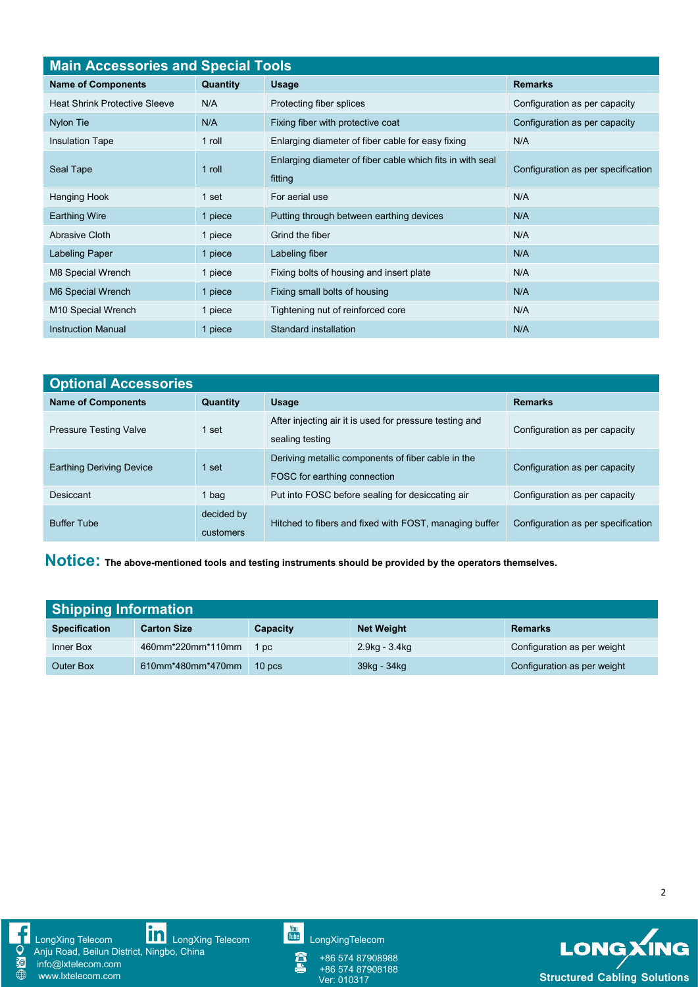| <b>Main Accessories and Special Tools</b> |                 |                                                           |                                    |  |
|-------------------------------------------|-----------------|-----------------------------------------------------------|------------------------------------|--|
| <b>Name of Components</b>                 | <b>Quantity</b> | <b>Usage</b>                                              | <b>Remarks</b>                     |  |
| <b>Heat Shrink Protective Sleeve</b>      | N/A             | Protecting fiber splices                                  | Configuration as per capacity      |  |
| Nylon Tie                                 | N/A             | Fixing fiber with protective coat                         | Configuration as per capacity      |  |
| <b>Insulation Tape</b>                    | 1 roll          | Enlarging diameter of fiber cable for easy fixing         | N/A                                |  |
|                                           |                 | Enlarging diameter of fiber cable which fits in with seal |                                    |  |
| Seal Tape                                 | 1 roll          | fitting                                                   | Configuration as per specification |  |
| Hanging Hook                              | 1 set           | For aerial use                                            | N/A                                |  |
| <b>Earthing Wire</b>                      | 1 piece         | Putting through between earthing devices                  | N/A                                |  |
| Abrasive Cloth                            | 1 piece         | Grind the fiber                                           | N/A                                |  |
| Labeling Paper                            | 1 piece         | Labeling fiber                                            | N/A                                |  |
| M8 Special Wrench                         | 1 piece         | Fixing bolts of housing and insert plate                  | N/A                                |  |
| M6 Special Wrench                         | 1 piece         | Fixing small bolts of housing                             | N/A                                |  |
| M10 Special Wrench                        | 1 piece         | Tightening nut of reinforced core                         | N/A                                |  |
| <b>Instruction Manual</b>                 | 1 piece         | Standard installation                                     | N/A                                |  |

| <b>Optional Accessories</b>     |                         |                                                                                    |                                    |  |
|---------------------------------|-------------------------|------------------------------------------------------------------------------------|------------------------------------|--|
| <b>Name of Components</b>       | Quantity                | <b>Usage</b>                                                                       | <b>Remarks</b>                     |  |
| <b>Pressure Testing Valve</b>   | l set                   | After injecting air it is used for pressure testing and<br>sealing testing         | Configuration as per capacity      |  |
| <b>Earthing Deriving Device</b> | l set.                  | Deriving metallic components of fiber cable in the<br>FOSC for earthing connection | Configuration as per capacity      |  |
| Desiccant                       | l bag                   | Put into FOSC before sealing for desiccating air                                   | Configuration as per capacity      |  |
| <b>Buffer Tube</b>              | decided by<br>customers | Hitched to fibers and fixed with FOST, managing buffer                             | Configuration as per specification |  |

**Notice: The above-mentioned tools and testing instruments should be provided by the operators themselves.**

| <b>Shipping Information</b> |                    |                   |                   |                             |
|-----------------------------|--------------------|-------------------|-------------------|-----------------------------|
| <b>Specification</b>        | <b>Carton Size</b> | Capacity          | <b>Net Weight</b> | Remarks                     |
| Inner Box                   | 460mm*220mm*110mm  | 1 pc              | 2.9kg - 3.4kg     | Configuration as per weight |
| <b>Outer Box</b>            | 610mm*480mm*470mm  | 10 <sub>DCS</sub> | 39kg - 34kg       | Configuration as per weight |



[LongXing](https://www.linkedin.com/company/longxing-telecom) Telecom **LILLI** LongXing Telecom Lulling [LongXingTelecom](https://www.youtube.com/user/LongXingTelecom) and CongXingTelecom

Anju Road, Beilun District, Ningbo, China info@lxtelecom.com



+86 574 87908188

+86 574 87908988

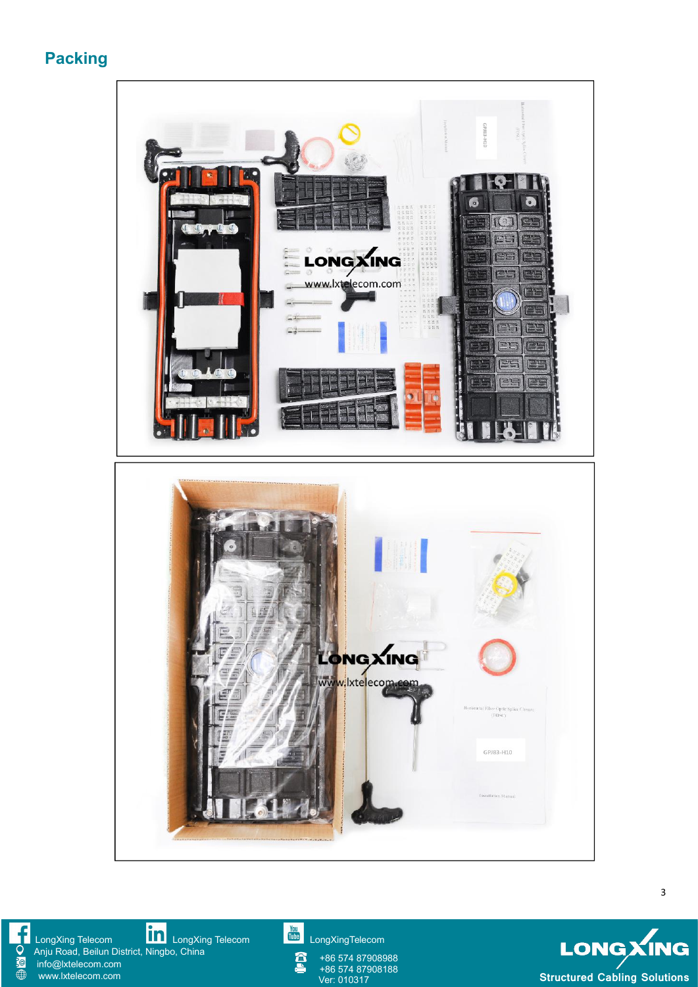**Packing**



[LongXing](https://www.linkedin.com/company/longxing-telecom) Telecom **LILLI** LongXing Telecom Lulling [LongXingTelecom](https://www.youtube.com/user/LongXingTelecom) and CongXingTelecom Anju Road, Beilun District, Ningbo, China info@lxtelecom.com [www.lxtelecom.com](http://www.lxtelecom.com/)

f Q  $\dot{a}$ 

+86 574 87908988 +86 574 87908188